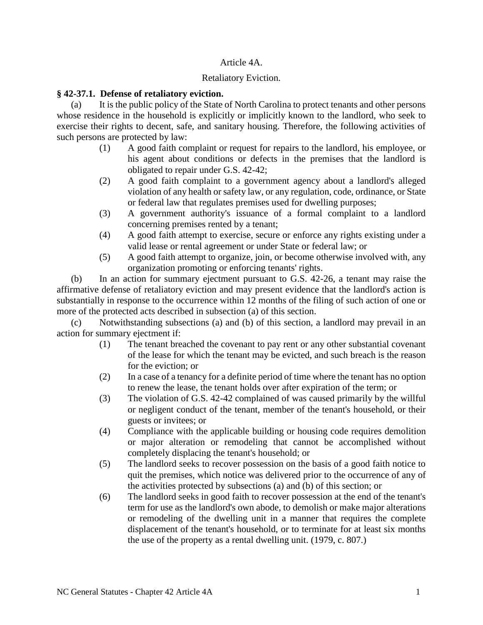### Article 4A.

## Retaliatory Eviction.

### **§ 42-37.1. Defense of retaliatory eviction.**

(a) It is the public policy of the State of North Carolina to protect tenants and other persons whose residence in the household is explicitly or implicitly known to the landlord, who seek to exercise their rights to decent, safe, and sanitary housing. Therefore, the following activities of such persons are protected by law:

- (1) A good faith complaint or request for repairs to the landlord, his employee, or his agent about conditions or defects in the premises that the landlord is obligated to repair under G.S. 42-42;
- (2) A good faith complaint to a government agency about a landlord's alleged violation of any health or safety law, or any regulation, code, ordinance, or State or federal law that regulates premises used for dwelling purposes;
- (3) A government authority's issuance of a formal complaint to a landlord concerning premises rented by a tenant;
- (4) A good faith attempt to exercise, secure or enforce any rights existing under a valid lease or rental agreement or under State or federal law; or
- (5) A good faith attempt to organize, join, or become otherwise involved with, any organization promoting or enforcing tenants' rights.

(b) In an action for summary ejectment pursuant to G.S. 42-26, a tenant may raise the affirmative defense of retaliatory eviction and may present evidence that the landlord's action is substantially in response to the occurrence within 12 months of the filing of such action of one or more of the protected acts described in subsection (a) of this section.

(c) Notwithstanding subsections (a) and (b) of this section, a landlord may prevail in an action for summary ejectment if:

- (1) The tenant breached the covenant to pay rent or any other substantial covenant of the lease for which the tenant may be evicted, and such breach is the reason for the eviction; or
- (2) In a case of a tenancy for a definite period of time where the tenant has no option to renew the lease, the tenant holds over after expiration of the term; or
- (3) The violation of G.S. 42-42 complained of was caused primarily by the willful or negligent conduct of the tenant, member of the tenant's household, or their guests or invitees; or
- (4) Compliance with the applicable building or housing code requires demolition or major alteration or remodeling that cannot be accomplished without completely displacing the tenant's household; or
- (5) The landlord seeks to recover possession on the basis of a good faith notice to quit the premises, which notice was delivered prior to the occurrence of any of the activities protected by subsections (a) and (b) of this section; or
- (6) The landlord seeks in good faith to recover possession at the end of the tenant's term for use as the landlord's own abode, to demolish or make major alterations or remodeling of the dwelling unit in a manner that requires the complete displacement of the tenant's household, or to terminate for at least six months the use of the property as a rental dwelling unit. (1979, c. 807.)